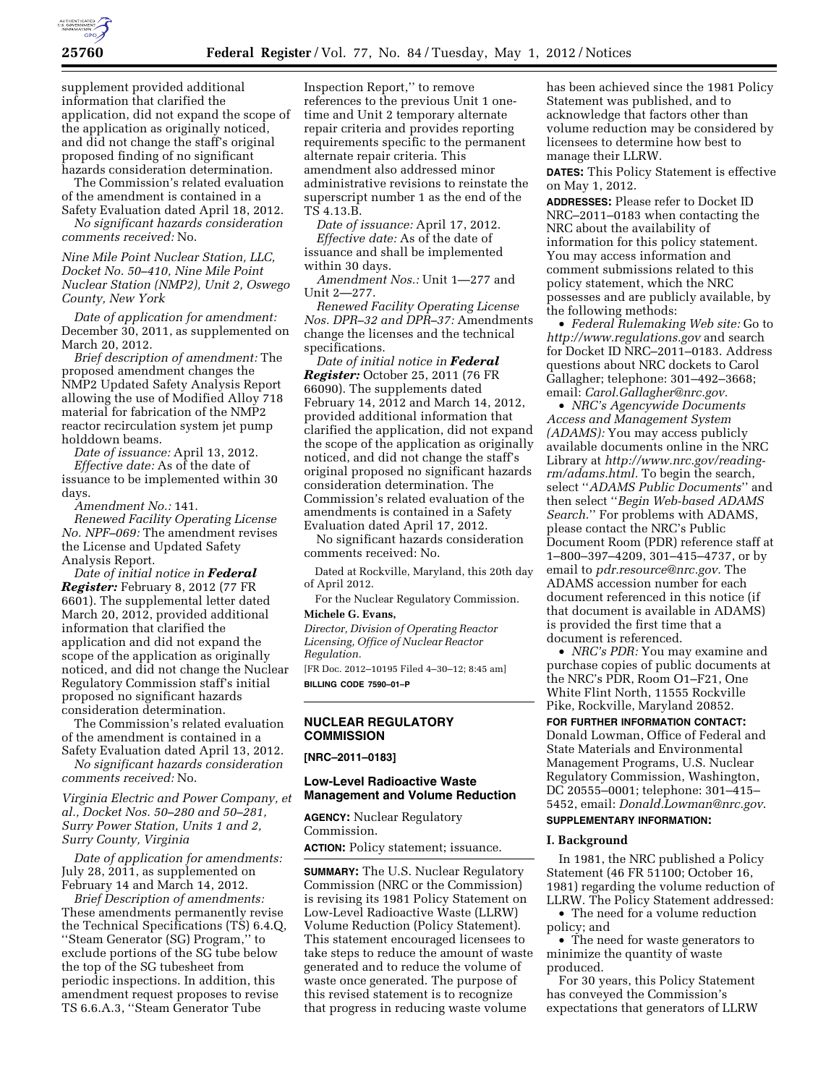

supplement provided additional information that clarified the application, did not expand the scope of the application as originally noticed, and did not change the staff's original proposed finding of no significant hazards consideration determination.

The Commission's related evaluation of the amendment is contained in a

Safety Evaluation dated April 18, 2012. *No significant hazards consideration comments received:* No.

*Nine Mile Point Nuclear Station, LLC, Docket No. 50–410, Nine Mile Point Nuclear Station (NMP2), Unit 2, Oswego County, New York* 

*Date of application for amendment:*  December 30, 2011, as supplemented on March 20, 2012.

*Brief description of amendment:* The proposed amendment changes the NMP2 Updated Safety Analysis Report allowing the use of Modified Alloy 718 material for fabrication of the NMP2 reactor recirculation system jet pump holddown beams.

*Date of issuance:* April 13, 2012. *Effective date:* As of the date of issuance to be implemented within 30 days.

*Amendment No.:* 141.

*Renewed Facility Operating License No. NPF–069:* The amendment revises the License and Updated Safety Analysis Report.

*Date of initial notice in Federal Register:* February 8, 2012 (77 FR 6601). The supplemental letter dated March 20, 2012, provided additional information that clarified the application and did not expand the scope of the application as originally noticed, and did not change the Nuclear Regulatory Commission staff's initial proposed no significant hazards consideration determination.

The Commission's related evaluation of the amendment is contained in a Safety Evaluation dated April 13, 2012.

*No significant hazards consideration comments received:* No.

*Virginia Electric and Power Company, et al., Docket Nos. 50–280 and 50–281, Surry Power Station, Units 1 and 2, Surry County, Virginia* 

*Date of application for amendments:*  July 28, 2011, as supplemented on February 14 and March 14, 2012.

*Brief Description of amendments:*  These amendments permanently revise the Technical Specifications (TS) 6.4.Q, ''Steam Generator (SG) Program,'' to exclude portions of the SG tube below the top of the SG tubesheet from periodic inspections. In addition, this amendment request proposes to revise TS 6.6.A.3, ''Steam Generator Tube

Inspection Report,'' to remove references to the previous Unit 1 onetime and Unit 2 temporary alternate repair criteria and provides reporting requirements specific to the permanent alternate repair criteria. This amendment also addressed minor administrative revisions to reinstate the superscript number 1 as the end of the TS 4.13.B.

*Date of issuance:* April 17, 2012. *Effective date:* As of the date of issuance and shall be implemented within 30 days.

*Amendment Nos.:* Unit 1—277 and Unit 2—277.

*Renewed Facility Operating License Nos. DPR–32 and DPR–37:* Amendments change the licenses and the technical specifications.

*Date of initial notice in Federal Register:* October 25, 2011 (76 FR 66090). The supplements dated February 14, 2012 and March 14, 2012, provided additional information that clarified the application, did not expand the scope of the application as originally noticed, and did not change the staff's original proposed no significant hazards consideration determination. The Commission's related evaluation of the amendments is contained in a Safety Evaluation dated April 17, 2012.

No significant hazards consideration comments received: No.

Dated at Rockville, Maryland, this 20th day of April 2012.

For the Nuclear Regulatory Commission. **Michele G. Evans,** 

*Director, Division of Operating Reactor Licensing, Office of Nuclear Reactor Regulation.* 

[FR Doc. 2012–10195 Filed 4–30–12; 8:45 am] **BILLING CODE 7590–01–P** 

### **NUCLEAR REGULATORY COMMISSION**

**[NRC–2011–0183]** 

## **Low-Level Radioactive Waste Management and Volume Reduction**

**AGENCY:** Nuclear Regulatory Commission.

**ACTION:** Policy statement; issuance.

**SUMMARY:** The U.S. Nuclear Regulatory Commission (NRC or the Commission) is revising its 1981 Policy Statement on Low-Level Radioactive Waste (LLRW) Volume Reduction (Policy Statement). This statement encouraged licensees to take steps to reduce the amount of waste generated and to reduce the volume of waste once generated. The purpose of this revised statement is to recognize that progress in reducing waste volume

has been achieved since the 1981 Policy Statement was published, and to acknowledge that factors other than volume reduction may be considered by licensees to determine how best to manage their LLRW.

**DATES:** This Policy Statement is effective on May 1, 2012.

**ADDRESSES:** Please refer to Docket ID NRC–2011–0183 when contacting the NRC about the availability of information for this policy statement. You may access information and comment submissions related to this policy statement, which the NRC possesses and are publicly available, by the following methods:

• *Federal Rulemaking Web site:* Go to *<http://www.regulations.gov>* and search for Docket ID NRC–2011–0183. Address questions about NRC dockets to Carol Gallagher; telephone: 301–492–3668; email: *[Carol.Gallagher@nrc.gov.](mailto:Carol.Gallagher@nrc.gov)* 

• *NRC's Agencywide Documents Access and Management System (ADAMS):* You may access publicly available documents online in the NRC Library at *[http://www.nrc.gov/reading](http://www.nrc.gov/reading-rm/adams.html)[rm/adams.html.](http://www.nrc.gov/reading-rm/adams.html)* To begin the search, select ''*ADAMS Public Documents*'' and then select ''*Begin Web-based ADAMS Search.*'' For problems with ADAMS, please contact the NRC's Public Document Room (PDR) reference staff at 1–800–397–4209, 301–415–4737, or by email to *[pdr.resource@nrc.gov.](mailto:pdr.resource@nrc.gov)* The ADAMS accession number for each document referenced in this notice (if that document is available in ADAMS) is provided the first time that a document is referenced.

• *NRC's PDR:* You may examine and purchase copies of public documents at the NRC's PDR, Room O1–F21, One White Flint North, 11555 Rockville Pike, Rockville, Maryland 20852.

**FOR FURTHER INFORMATION CONTACT:** 

Donald Lowman, Office of Federal and State Materials and Environmental Management Programs, U.S. Nuclear Regulatory Commission, Washington, DC 20555–0001; telephone: 301–415– 5452, email: *[Donald.Lowman@nrc.gov](mailto:Donald.Lowman@nrc.gov)*. **SUPPLEMENTARY INFORMATION:** 

### **I. Background**

In 1981, the NRC published a Policy Statement (46 FR 51100; October 16, 1981) regarding the volume reduction of LLRW. The Policy Statement addressed:

• The need for a volume reduction policy; and

• The need for waste generators to minimize the quantity of waste produced.

For 30 years, this Policy Statement has conveyed the Commission's expectations that generators of LLRW